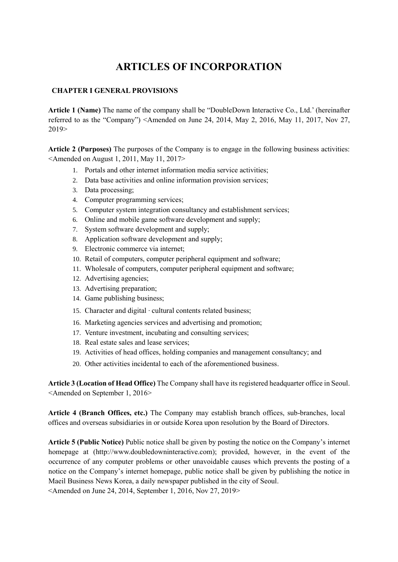# **ARTICLES OF INCORPORATION**

# **CHAPTER I GENERAL PROVISIONS**

**Article 1 (Name)** The name of the company shall be "DoubleDown Interactive Co., Ltd.' (hereinafter referred to as the "Company") <Amended on June 24, 2014, May 2, 2016, May 11, 2017, Nov 27, 2019>

**Article 2 (Purposes)** The purposes of the Company is to engage in the following business activities: <Amended on August 1, 2011, May 11, 2017>

- 1. Portals and other internet information media service activities;
- 2. Data base activities and online information provision services;
- 3. Data processing;
- 4. Computer programming services;
- 5. Computer system integration consultancy and establishment services;
- 6. Online and mobile game software development and supply;
- 7. System software development and supply;
- 8. Application software development and supply;
- 9. Electronic commerce via internet;
- 10. Retail of computers, computer peripheral equipment and software;
- 11. Wholesale of computers, computer peripheral equipment and software;
- 12. Advertising agencies;
- 13. Advertising preparation;
- 14. Game publishing business;
- 15. Character and digital · cultural contents related business;
- 16. Marketing agencies services and advertising and promotion;
- 17. Venture investment, incubating and consulting services;
- 18. Real estate sales and lease services;
- 19. Activities of head offices, holding companies and management consultancy; and
- 20. Other activities incidental to each of the aforementioned business.

**Article 3 (Location of Head Office)** The Company shall have its registered headquarter office in Seoul. <Amended on September 1, 2016>

**Article 4 (Branch Offices, etc.)** The Company may establish branch offices, sub-branches, local offices and overseas subsidiaries in or outside Korea upon resolution by the Board of Directors.

**Article 5 (Public Notice)** Public notice shall be given by posting the notice on the Company's internet homepage at (http://www.doubledowninteractive.com); provided, however, in the event of the occurrence of any computer problems or other unavoidable causes which prevents the posting of a notice on the Company's internet homepage, public notice shall be given by publishing the notice in Maeil Business News Korea, a daily newspaper published in the city of Seoul.

<Amended on June 24, 2014, September 1, 2016, Nov 27, 2019>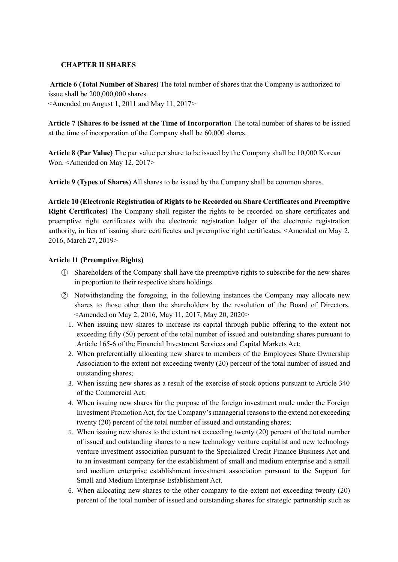# **CHAPTER II SHARES**

**Article 6 (Total Number of Shares)** The total number of shares that the Company is authorized to issue shall be 200,000,000 shares. <Amended on August 1, 2011 and May 11, 2017>

**Article 7 (Shares to be issued at the Time of Incorporation** The total number of shares to be issued at the time of incorporation of the Company shall be 60,000 shares.

**Article 8 (Par Value)** The par value per share to be issued by the Company shall be 10,000 Korean Won. <Amended on May 12, 2017>

**Article 9 (Types of Shares)** All shares to be issued by the Company shall be common shares.

**Article 10 (Electronic Registration of Rights to be Recorded on Share Certificates and Preemptive Right Certificates)** The Company shall register the rights to be recorded on share certificates and preemptive right certificates with the electronic registration ledger of the electronic registration authority, in lieu of issuing share certificates and preemptive right certificates. <Amended on May 2, 2016, March 27, 2019>

## **Article 11 (Preemptive Rights)**

- ① Shareholders of the Company shall have the preemptive rights to subscribe for the new shares in proportion to their respective share holdings.
- ② Notwithstanding the foregoing, in the following instances the Company may allocate new shares to those other than the shareholders by the resolution of the Board of Directors. <Amended on May 2, 2016, May 11, 2017, May 20, 2020>
	- 1. When issuing new shares to increase its capital through public offering to the extent not exceeding fifty (50) percent of the total number of issued and outstanding shares pursuant to Article 165-6 of the Financial Investment Services and Capital Markets Act;
	- 2. When preferentially allocating new shares to members of the Employees Share Ownership Association to the extent not exceeding twenty (20) percent of the total number of issued and outstanding shares;
	- 3. When issuing new shares as a result of the exercise of stock options pursuant to Article 340 of the Commercial Act;
	- 4. When issuing new shares for the purpose of the foreign investment made under the Foreign Investment Promotion Act, for the Company's managerial reasons to the extend not exceeding twenty (20) percent of the total number of issued and outstanding shares;
	- 5. When issuing new shares to the extent not exceeding twenty (20) percent of the total number of issued and outstanding shares to a new technology venture capitalist and new technology venture investment association pursuant to the Specialized Credit Finance Business Act and to an investment company for the establishment of small and medium enterprise and a small and medium enterprise establishment investment association pursuant to the Support for Small and Medium Enterprise Establishment Act.
	- 6. When allocating new shares to the other company to the extent not exceeding twenty (20) percent of the total number of issued and outstanding shares for strategic partnership such as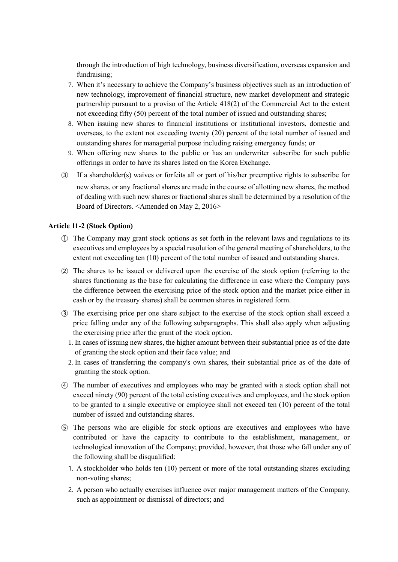through the introduction of high technology, business diversification, overseas expansion and fundraising;

- 7. When it's necessary to achieve the Company's business objectives such as an introduction of new technology, improvement of financial structure, new market development and strategic partnership pursuant to a proviso of the Article 418(2) of the Commercial Act to the extent not exceeding fifty (50) percent of the total number of issued and outstanding shares;
- 8. When issuing new shares to financial institutions or institutional investors, domestic and overseas, to the extent not exceeding twenty (20) percent of the total number of issued and outstanding shares for managerial purpose including raising emergency funds; or
- 9. When offering new shares to the public or has an underwriter subscribe for such public offerings in order to have its shares listed on the Korea Exchange.
- ③ If a shareholder(s) waives or forfeits all or part of his/her preemptive rights to subscribe for new shares, or any fractional shares are made in the course of allotting new shares, the method of dealing with such new shares or fractional shares shall be determined by a resolution of the Board of Directors. <Amended on May 2, 2016>

## **Article 11-2 (Stock Option)**

- ① The Company may grant stock options as set forth in the relevant laws and regulations to its executives and employees by a special resolution of the general meeting of shareholders, to the extent not exceeding ten (10) percent of the total number of issued and outstanding shares.
- ② The shares to be issued or delivered upon the exercise of the stock option (referring to the shares functioning as the base for calculating the difference in case where the Company pays the difference between the exercising price of the stock option and the market price either in cash or by the treasury shares) shall be common shares in registered form.
- ③ The exercising price per one share subject to the exercise of the stock option shall exceed a price falling under any of the following subparagraphs. This shall also apply when adjusting the exercising price after the grant of the stock option.
	- 1. In cases of issuing new shares, the higher amount between their substantial price as of the date of granting the stock option and their face value; and
	- 2. In cases of transferring the company's own shares, their substantial price as of the date of granting the stock option.
- ④ The number of executives and employees who may be granted with a stock option shall not exceed ninety (90) percent of the total existing executives and employees, and the stock option to be granted to a single executive or employee shall not exceed ten (10) percent of the total number of issued and outstanding shares.
- ⑤ The persons who are eligible for stock options are executives and employees who have contributed or have the capacity to contribute to the establishment, management, or technological innovation of the Company; provided, however, that those who fall under any of the following shall be disqualified:
	- 1. A stockholder who holds ten (10) percent or more of the total outstanding shares excluding non-voting shares;
	- 2. A person who actually exercises influence over major management matters of the Company, such as appointment or dismissal of directors; and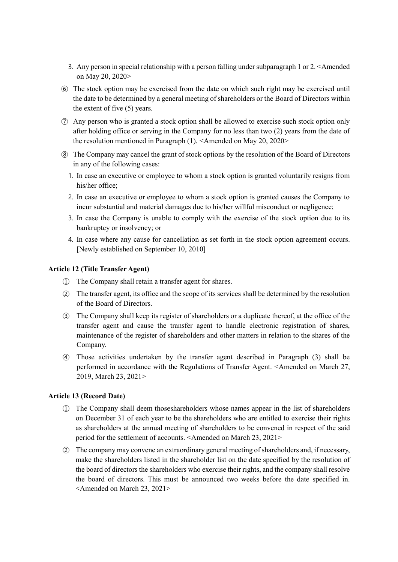- 3. Any person in special relationship with a person falling under subparagraph 1 or 2. <Amended on May 20, 2020>
- ⑥ The stock option may be exercised from the date on which such right may be exercised until the date to be determined by a general meeting of shareholders or the Board of Directors within the extent of five (5) years.
- ⑦ Any person who is granted a stock option shall be allowed to exercise such stock option only after holding office or serving in the Company for no less than two (2) years from the date of the resolution mentioned in Paragraph (1). <Amended on May 20, 2020>
- ⑧ The Company may cancel the grant of stock options by the resolution of the Board of Directors in any of the following cases:
	- 1. In case an executive or employee to whom a stock option is granted voluntarily resigns from his/her office;
	- 2. In case an executive or employee to whom a stock option is granted causes the Company to incur substantial and material damages due to his/her willful misconduct or negligence;
	- 3. In case the Company is unable to comply with the exercise of the stock option due to its bankruptcy or insolvency; or
	- 4. In case where any cause for cancellation as set forth in the stock option agreement occurs. [Newly established on September 10, 2010]

## **Article 12 (Title Transfer Agent)**

- ① The Company shall retain a transfer agent for shares.
- ② The transfer agent, its office and the scope of its services shall be determined by the resolution of the Board of Directors.
- ③ The Company shall keep its register of shareholders or a duplicate thereof, at the office of the transfer agent and cause the transfer agent to handle electronic registration of shares, maintenance of the register of shareholders and other matters in relation to the shares of the Company.
- ④ Those activities undertaken by the transfer agent described in Paragraph (3) shall be performed in accordance with the Regulations of Transfer Agent. <Amended on March 27, 2019, March 23, 2021>

#### **Article 13 (Record Date)**

- ① The Company shall deem thoseshareholders whose names appear in the list of shareholders on December 31 of each year to be the shareholders who are entitled to exercise their rights as shareholders at the annual meeting of shareholders to be convened in respect of the said period for the settlement of accounts. <Amended on March 23, 2021>
- ② The company may convene an extraordinary general meeting of shareholders and, if necessary, make the shareholders listed in the shareholder list on the date specified by the resolution of the board of directors the shareholders who exercise their rights, and the company shall resolve the board of directors. This must be announced two weeks before the date specified in. <Amended on March 23, 2021>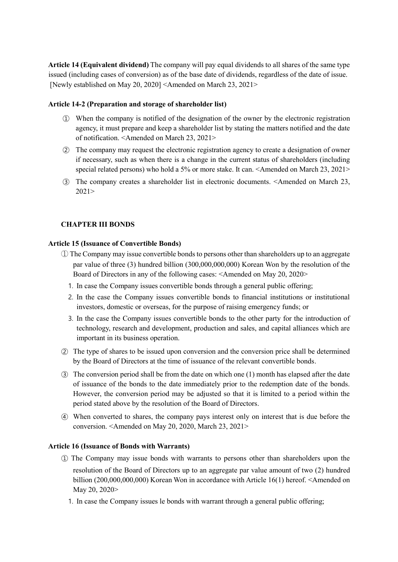**Article 14 (Equivalent dividend)** The company will pay equal dividends to all shares of the same type issued (including cases of conversion) as of the base date of dividends, regardless of the date of issue. [Newly established on May 20, 2020] <Amended on March 23, 2021>

## **Article 14-2 (Preparation and storage of shareholder list)**

- ① When the company is notified of the designation of the owner by the electronic registration agency, it must prepare and keep a shareholder list by stating the matters notified and the date of notification. <Amended on March 23, 2021>
- ② The company may request the electronic registration agency to create a designation of owner if necessary, such as when there is a change in the current status of shareholders (including special related persons) who hold a 5% or more stake. It can. <Amended on March 23, 2021>
- ③ The company creates a shareholder list in electronic documents. <Amended on March 23, 2021>

# **CHAPTER III BONDS**

## **Article 15 (Issuance of Convertible Bonds)**

- ① The Company may issue convertible bonds to persons other than shareholders up to an aggregate par value of three (3) hundred billion (300,000,000,000) Korean Won by the resolution of the Board of Directors in any of the following cases: <Amended on May 20, 2020>
	- 1. In case the Company issues convertible bonds through a general public offering;
	- 2. In the case the Company issues convertible bonds to financial institutions or institutional investors, domestic or overseas, for the purpose of raising emergency funds; or
	- 3. In the case the Company issues convertible bonds to the other party for the introduction of technology, research and development, production and sales, and capital alliances which are important in its business operation.
- ② The type of shares to be issued upon conversion and the conversion price shall be determined by the Board of Directors at the time of issuance of the relevant convertible bonds.
- ③ The conversion period shall be from the date on which one (1) month has elapsed after the date of issuance of the bonds to the date immediately prior to the redemption date of the bonds. However, the conversion period may be adjusted so that it is limited to a period within the period stated above by the resolution of the Board of Directors.
- ④ When converted to shares, the company pays interest only on interest that is due before the conversion. <Amended on May 20, 2020, March 23, 2021>

#### **Article 16 (Issuance of Bonds with Warrants)**

- ① The Company may issue bonds with warrants to persons other than shareholders upon the resolution of the Board of Directors up to an aggregate par value amount of two (2) hundred billion (200,000,000,000) Korean Won in accordance with Article 16(1) hereof. <Amended on May 20, 2020>
	- 1. In case the Company issues le bonds with warrant through a general public offering;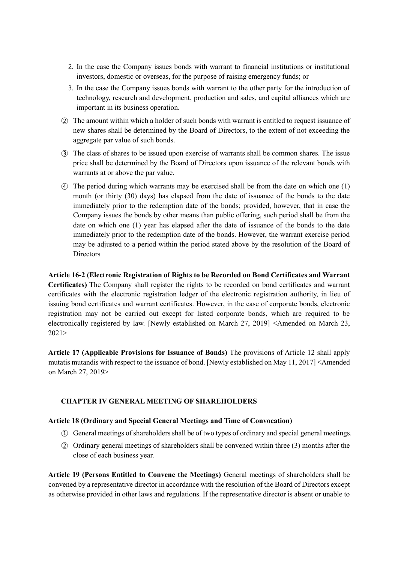- 2. In the case the Company issues bonds with warrant to financial institutions or institutional investors, domestic or overseas, for the purpose of raising emergency funds; or
- 3. In the case the Company issues bonds with warrant to the other party for the introduction of technology, research and development, production and sales, and capital alliances which are important in its business operation.
- ② The amount within which a holder of such bonds with warrant is entitled to request issuance of new shares shall be determined by the Board of Directors, to the extent of not exceeding the aggregate par value of such bonds.
- ③ The class of shares to be issued upon exercise of warrants shall be common shares. The issue price shall be determined by the Board of Directors upon issuance of the relevant bonds with warrants at or above the par value.
- ④ The period during which warrants may be exercised shall be from the date on which one (1) month (or thirty (30) days) has elapsed from the date of issuance of the bonds to the date immediately prior to the redemption date of the bonds; provided, however, that in case the Company issues the bonds by other means than public offering, such period shall be from the date on which one (1) year has elapsed after the date of issuance of the bonds to the date immediately prior to the redemption date of the bonds. However, the warrant exercise period may be adjusted to a period within the period stated above by the resolution of the Board of **Directors**

# **Article 16-2 (Electronic Registration of Rights to be Recorded on Bond Certificates and Warrant**

**Certificates)** The Company shall register the rights to be recorded on bond certificates and warrant certificates with the electronic registration ledger of the electronic registration authority, in lieu of issuing bond certificates and warrant certificates. However, in the case of corporate bonds, electronic registration may not be carried out except for listed corporate bonds, which are required to be electronically registered by law. [Newly established on March 27, 2019] <Amended on March 23, 2021>

**Article 17 (Applicable Provisions for Issuance of Bonds)** The provisions of Article 12 shall apply mutatis mutandis with respect to the issuance of bond. [Newly established on May 11, 2017] <Amended on March 27, 2019>

#### **CHAPTER IV GENERAL MEETING OF SHAREHOLDERS**

#### **Article 18 (Ordinary and Special General Meetings and Time of Convocation)**

- ① General meetings of shareholders shall be of two types of ordinary and special general meetings.
- ② Ordinary general meetings of shareholders shall be convened within three (3) months after the close of each business year.

**Article 19 (Persons Entitled to Convene the Meetings)** General meetings of shareholders shall be convened by a representative director in accordance with the resolution of the Board of Directors except as otherwise provided in other laws and regulations. If the representative director is absent or unable to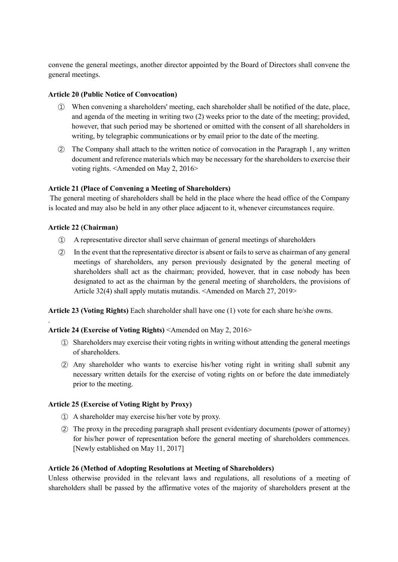convene the general meetings, another director appointed by the Board of Directors shall convene the general meetings.

## **Article 20 (Public Notice of Convocation)**

- ① When convening a shareholders' meeting, each shareholder shall be notified of the date, place, and agenda of the meeting in writing two (2) weeks prior to the date of the meeting; provided, however, that such period may be shortened or omitted with the consent of all shareholders in writing, by telegraphic communications or by email prior to the date of the meeting.
- ② The Company shall attach to the written notice of convocation in the Paragraph 1, any written document and reference materials which may be necessary for the shareholders to exercise their voting rights. <Amended on May 2, 2016>

## **Article 21 (Place of Convening a Meeting of Shareholders)**

The general meeting of shareholders shall be held in the place where the head office of the Company is located and may also be held in any other place adjacent to it, whenever circumstances require.

## **Article 22 (Chairman)**

.

- ① A representative director shall serve chairman of general meetings of shareholders
- ② In the event that the representative director is absent or fails to serve as chairman of any general meetings of shareholders, any person previously designated by the general meeting of shareholders shall act as the chairman; provided, however, that in case nobody has been designated to act as the chairman by the general meeting of shareholders, the provisions of Article 32(4) shall apply mutatis mutandis. <Amended on March 27, 2019>

**Article 23 (Voting Rights)** Each shareholder shall have one (1) vote for each share he/she owns.

#### **Article 24 (Exercise of Voting Rights)** <Amended on May 2, 2016>

- ① Shareholders may exercise their voting rights in writing without attending the general meetings of shareholders.
- ② Any shareholder who wants to exercise his/her voting right in writing shall submit any necessary written details for the exercise of voting rights on or before the date immediately prior to the meeting.

#### **Article 25 (Exercise of Voting Right by Proxy)**

- ① A shareholder may exercise his/her vote by proxy.
- ② The proxy in the preceding paragraph shall present evidentiary documents (power of attorney) for his/her power of representation before the general meeting of shareholders commences. [Newly established on May 11, 2017]

#### **Article 26 (Method of Adopting Resolutions at Meeting of Shareholders)**

Unless otherwise provided in the relevant laws and regulations, all resolutions of a meeting of shareholders shall be passed by the affirmative votes of the majority of shareholders present at the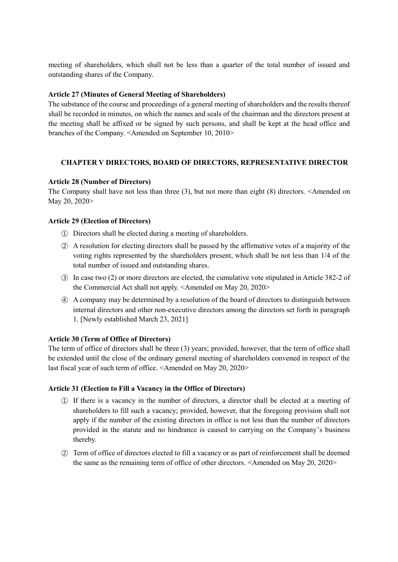meeting of shareholders, which shall not be less than a quarter of the total number of issued and outstanding shares of the Company.

## **Article 27 (Minutes of General Meeting of Shareholders)**

The substance of the course and proceedings of a general meeting of shareholders and the results thereof shall be recorded in minutes, on which the names and seals of the chairman and the directors present at the meeting shall be affixed or be signed by such persons, and shall be kept at the head office and branches of the Company. <Amended on September 10, 2010>

# **CHAPTER V DIRECTORS, BOARD OF DIRECTORS, REPRESENTATIVE DIRECTOR**

## **Article 28 (Number of Directors)**

The Company shall have not less than three (3), but not more than eight (8) directors. <Amended on May 20, 2020>

## **Article 29 (Election of Directors)**

- ① Directors shall be elected during a meeting of shareholders.
- ② A resolution for electing directors shall be passed by the affirmative votes of a majority of the voting rights represented by the shareholders present, which shall be not less than 1/4 of the total number of issued and outstanding shares.
- ③ In case two (2) or more directors are elected, the cumulative vote stipulated in Article 382-2 of the Commercial Act shall not apply. <Amended on May 20, 2020>
- ④ A company may be determined by a resolution of the board of directors to distinguish between internal directors and other non-executive directors among the directors set forth in paragraph 1. [Newly established March 23, 2021]

#### **Article 30 (Term of Office of Directors)**

The term of office of directors shall be three (3) years; provided, however, that the term of office shall be extended until the close of the ordinary general meeting of shareholders convened in respect of the last fiscal year of such term of office. <Amended on May 20, 2020>

#### **Article 31 (Election to Fill a Vacancy in the Office of Directors)**

- ① If there is a vacancy in the number of directors, a director shall be elected at a meeting of shareholders to fill such a vacancy; provided, however, that the foregoing provision shall not apply if the number of the existing directors in office is not less than the number of directors provided in the statute and no hindrance is caused to carrying on the Company's business thereby.
- ② Term of office of directors elected to fill a vacancy or as part of reinforcement shall be deemed the same as the remaining term of office of other directors. <Amended on May 20, 2020>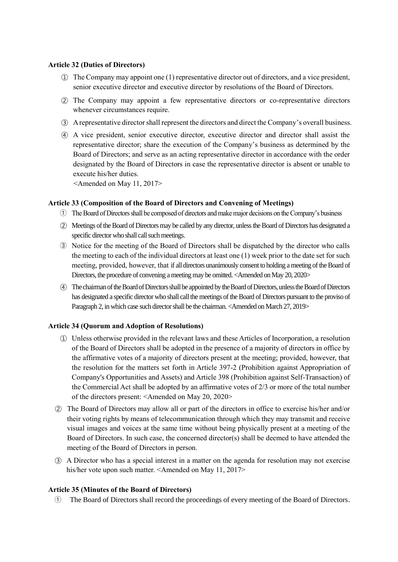#### **Article 32 (Duties of Directors)**

- ① The Company may appoint one (1) representative director out of directors, and a vice president, senior executive director and executive director by resolutions of the Board of Directors.
- ② The Company may appoint a few representative directors or co-representative directors whenever circumstances require.
- ③ A representative director shall represent the directors and direct the Company's overall business.
- ④ A vice president, senior executive director, executive director and director shall assist the representative director; share the execution of the Company's business as determined by the Board of Directors; and serve as an acting representative director in accordance with the order designated by the Board of Directors in case the representative director is absent or unable to execute his/her duties.

<Amended on May 11, 2017>

## **Article 33 (Composition of the Board of Directors and Convening of Meetings)**

- ① The Board of Directors shall be composed of directors and make major decisions on the Company's business
- ② Meetings of the Board of Directors may be called by any director, unless the Board of Directors has designated a specific director who shall call such meetings.
- ③ Notice for the meeting of the Board of Directors shall be dispatched by the director who calls the meeting to each of the individual directors at least one (1) week prior to the date set for such meeting, provided, however, that if all directors unanimously consent to holding a meeting of the Board of Directors, the procedure of convening a meeting may be omitted. <Amended on May 20, 2020>
- ④ The chairman of the Board of Directors shall be appointed by the Board of Directors, unless the Board of Directors has designated a specific director who shall call the meetings of the Board of Directors pursuant to the proviso of Paragraph 2, in which case such director shall be the chairman. <Amended on March 27, 2019>

# **Article 34 (Quorum and Adoption of Resolutions)**

- ① Unless otherwise provided in the relevant laws and these Articles of Incorporation, a resolution of the Board of Directors shall be adopted in the presence of a majority of directors in office by the affirmative votes of a majority of directors present at the meeting; provided, however, that the resolution for the matters set forth in Article 397-2 (Prohibition against Appropriation of Company's Opportunities and Assets) and Article 398 (Prohibition against Self-Transaction) of the Commercial Act shall be adopted by an affirmative votes of 2/3 or more of the total number of the directors present: <Amended on May 20, 2020>
- ② The Board of Directors may allow all or part of the directors in office to exercise his/her and/or their voting rights by means of telecommunication through which they may transmit and receive visual images and voices at the same time without being physically present at a meeting of the Board of Directors. In such case, the concerned director(s) shall be deemed to have attended the meeting of the Board of Directors in person.
- ③ A Director who has a special interest in a matter on the agenda for resolution may not exercise his/her vote upon such matter. <Amended on May 11, 2017>

# **Article 35 (Minutes of the Board of Directors)**

① The Board of Directors shall record the proceedings of every meeting of the Board of Directors.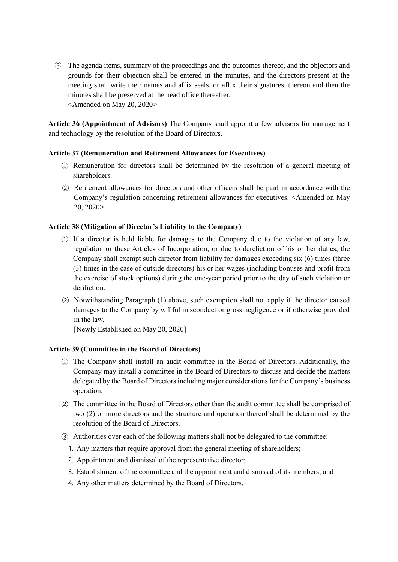② The agenda items, summary of the proceedings and the outcomes thereof, and the objectors and grounds for their objection shall be entered in the minutes, and the directors present at the meeting shall write their names and affix seals, or affix their signatures, thereon and then the minutes shall be preserved at the head office thereafter. <Amended on May 20, 2020>

**Article 36 (Appointment of Advisors)** The Company shall appoint a few advisors for management and technology by the resolution of the Board of Directors.

## **Article 37 (Remuneration and Retirement Allowances for Executives)**

- ① Remuneration for directors shall be determined by the resolution of a general meeting of shareholders.
- ② Retirement allowances for directors and other officers shall be paid in accordance with the Company's regulation concerning retirement allowances for executives. <Amended on May 20, 2020>

## **Article 38 (Mitigation of Director's Liability to the Company)**

- ① If a director is held liable for damages to the Company due to the violation of any law, regulation or these Articles of Incorporation, or due to dereliction of his or her duties, the Company shall exempt such director from liability for damages exceeding six (6) times (three (3) times in the case of outside directors) his or her wages (including bonuses and profit from the exercise of stock options) during the one-year period prior to the day of such violation or deriliction.
- ② Notwithstanding Paragraph (1) above, such exemption shall not apply if the director caused damages to the Company by willful misconduct or gross negligence or if otherwise provided in the law.

[Newly Established on May 20, 2020]

#### **Article 39 (Committee in the Board of Directors)**

- ① The Company shall install an audit committee in the Board of Directors. Additionally, the Company may install a committee in the Board of Directors to discuss and decide the matters delegated by the Board of Directors including major considerations for the Company's business operation.
- ② The committee in the Board of Directors other than the audit committee shall be comprised of two (2) or more directors and the structure and operation thereof shall be determined by the resolution of the Board of Directors.
- ③ Authorities over each of the following matters shall not be delegated to the committee:
	- 1. Any matters that require approval from the general meeting of shareholders;
	- 2. Appointment and dismissal of the representative director;
	- 3. Establishment of the committee and the appointment and dismissal of its members; and
	- 4. Any other matters determined by the Board of Directors.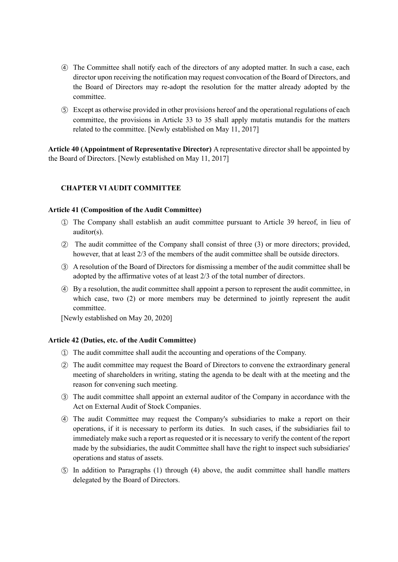- ④ The Committee shall notify each of the directors of any adopted matter. In such a case, each director upon receiving the notification may request convocation of the Board of Directors, and the Board of Directors may re-adopt the resolution for the matter already adopted by the committee.
- ⑤ Except as otherwise provided in other provisions hereof and the operational regulations of each committee, the provisions in Article 33 to 35 shall apply mutatis mutandis for the matters related to the committee. [Newly established on May 11, 2017]

**Article 40 (Appointment of Representative Director)** A representative director shall be appointed by the Board of Directors. [Newly established on May 11, 2017]

# **CHAPTER VI AUDIT COMMITTEE**

#### **Article 41 (Composition of the Audit Committee)**

- ① The Company shall establish an audit committee pursuant to Article 39 hereof, in lieu of auditor(s).
- ② The audit committee of the Company shall consist of three (3) or more directors; provided, however, that at least 2/3 of the members of the audit committee shall be outside directors.
- ③ A resolution of the Board of Directors for dismissing a member of the audit committee shall be adopted by the affirmative votes of at least 2/3 of the total number of directors.
- ④ By a resolution, the audit committee shall appoint a person to represent the audit committee, in which case, two (2) or more members may be determined to jointly represent the audit committee.

[Newly established on May 20, 2020]

#### **Article 42 (Duties, etc. of the Audit Committee)**

- ① The audit committee shall audit the accounting and operations of the Company.
- ② The audit committee may request the Board of Directors to convene the extraordinary general meeting of shareholders in writing, stating the agenda to be dealt with at the meeting and the reason for convening such meeting.
- ③ The audit committee shall appoint an external auditor of the Company in accordance with the Act on External Audit of Stock Companies.
- ④ The audit Committee may request the Company's subsidiaries to make a report on their operations, if it is necessary to perform its duties. In such cases, if the subsidiaries fail to immediately make such a report as requested or it is necessary to verify the content of the report made by the subsidiaries, the audit Committee shall have the right to inspect such subsidiaries' operations and status of assets.
- ⑤ In addition to Paragraphs (1) through (4) above, the audit committee shall handle matters delegated by the Board of Directors.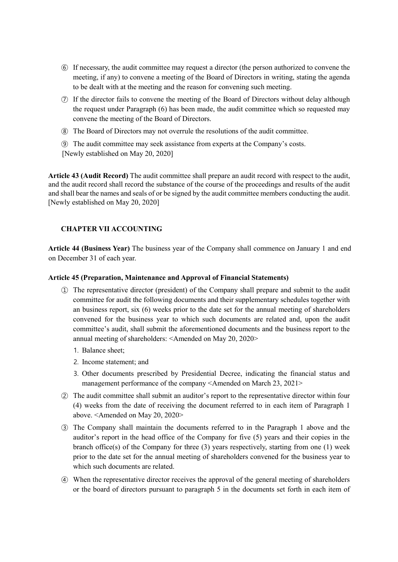- ⑥ If necessary, the audit committee may request a director (the person authorized to convene the meeting, if any) to convene a meeting of the Board of Directors in writing, stating the agenda to be dealt with at the meeting and the reason for convening such meeting.
- ⑦ If the director fails to convene the meeting of the Board of Directors without delay although the request under Paragraph (6) has been made, the audit committee which so requested may convene the meeting of the Board of Directors.
- ⑧ The Board of Directors may not overrule the resolutions of the audit committee.

⑨ The audit committee may seek assistance from experts at the Company's costs. [Newly established on May 20, 2020]

**Article 43 (Audit Record)** The audit committee shall prepare an audit record with respect to the audit, and the audit record shall record the substance of the course of the proceedings and results of the audit and shall bear the names and seals of or be signed by the audit committee members conducting the audit. [Newly established on May 20, 2020]

# **CHAPTER VII ACCOUNTING**

**Article 44 (Business Year)** The business year of the Company shall commence on January 1 and end on December 31 of each year.

#### **Article 45 (Preparation, Maintenance and Approval of Financial Statements)**

- ① The representative director (president) of the Company shall prepare and submit to the audit committee for audit the following documents and their supplementary schedules together with an business report, six (6) weeks prior to the date set for the annual meeting of shareholders convened for the business year to which such documents are related and, upon the audit committee's audit, shall submit the aforementioned documents and the business report to the annual meeting of shareholders: <Amended on May 20, 2020>
	- 1. Balance sheet;
	- 2. Income statement; and
	- 3. Other documents prescribed by Presidential Decree, indicating the financial status and management performance of the company <Amended on March 23, 2021>
- ② The audit committee shall submit an auditor's report to the representative director within four (4) weeks from the date of receiving the document referred to in each item of Paragraph 1 above. <Amended on May 20, 2020>
- ③ The Company shall maintain the documents referred to in the Paragraph 1 above and the auditor's report in the head office of the Company for five (5) years and their copies in the branch office(s) of the Company for three (3) years respectively, starting from one (1) week prior to the date set for the annual meeting of shareholders convened for the business year to which such documents are related.
- ④ When the representative director receives the approval of the general meeting of shareholders or the board of directors pursuant to paragraph 5 in the documents set forth in each item of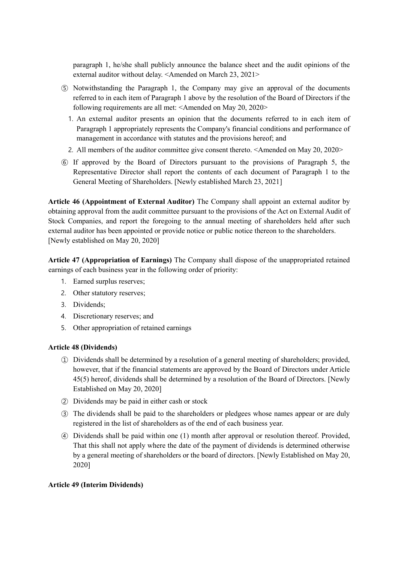paragraph 1, he/she shall publicly announce the balance sheet and the audit opinions of the external auditor without delay. <Amended on March 23, 2021>

- ⑤ Notwithstanding the Paragraph 1, the Company may give an approval of the documents referred to in each item of Paragraph 1 above by the resolution of the Board of Directors if the following requirements are all met: <Amended on May 20, 2020>
	- 1. An external auditor presents an opinion that the documents referred to in each item of Paragraph 1 appropriately represents the Company's financial conditions and performance of management in accordance with statutes and the provisions hereof; and
	- 2. All members of the auditor committee give consent thereto. <Amended on May 20, 2020>
- ⑥ If approved by the Board of Directors pursuant to the provisions of Paragraph 5, the Representative Director shall report the contents of each document of Paragraph 1 to the General Meeting of Shareholders. [Newly established March 23, 2021]

**Article 46 (Appointment of External Auditor)** The Company shall appoint an external auditor by obtaining approval from the audit committee pursuant to the provisions of the Act on External Audit of Stock Companies, and report the foregoing to the annual meeting of shareholders held after such external auditor has been appointed or provide notice or public notice thereon to the shareholders. [Newly established on May 20, 2020]

**Article 47 (Appropriation of Earnings)** The Company shall dispose of the unappropriated retained earnings of each business year in the following order of priority:

- 1. Earned surplus reserves;
- 2. Other statutory reserves;
- 3. Dividends;
- 4. Discretionary reserves; and
- 5. Other appropriation of retained earnings

#### **Article 48 (Dividends)**

- ① Dividends shall be determined by a resolution of a general meeting of shareholders; provided, however, that if the financial statements are approved by the Board of Directors under Article 45(5) hereof, dividends shall be determined by a resolution of the Board of Directors. [Newly Established on May 20, 2020]
- ② Dividends may be paid in either cash or stock
- ③ The dividends shall be paid to the shareholders or pledgees whose names appear or are duly registered in the list of shareholders as of the end of each business year.
- ④ Dividends shall be paid within one (1) month after approval or resolution thereof. Provided, That this shall not apply where the date of the payment of dividends is determined otherwise by a general meeting of shareholders or the board of directors. [Newly Established on May 20, 2020]

#### **Article 49 (Interim Dividends)**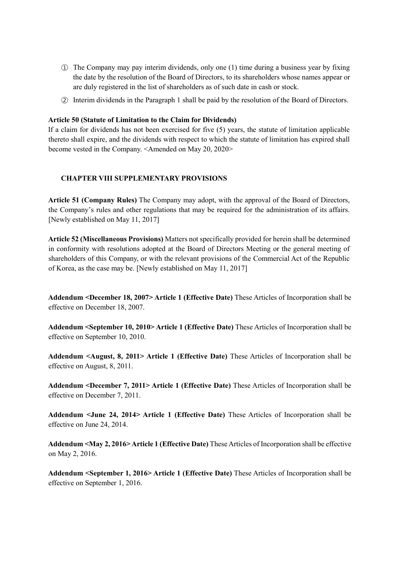- ① The Company may pay interim dividends, only one (1) time during a business year by fixing the date by the resolution of the Board of Directors, to its shareholders whose names appear or are duly registered in the list of shareholders as of such date in cash or stock.
- ② Interim dividends in the Paragraph 1 shall be paid by the resolution of the Board of Directors.

## **Article 50 (Statute of Limitation to the Claim for Dividends)**

If a claim for dividends has not been exercised for five (5) years, the statute of limitation applicable thereto shall expire, and the dividends with respect to which the statute of limitation has expired shall become vested in the Company. <Amended on May 20, 2020>

## **CHAPTER VIII SUPPLEMENTARY PROVISIONS**

**Article 51 (Company Rules)** The Company may adopt, with the approval of the Board of Directors, the Company's rules and other regulations that may be required for the administration of its affairs. [Newly established on May 11, 2017]

**Article 52 (Miscellaneous Provisions)** Matters not specifically provided for herein shall be determined in conformity with resolutions adopted at the Board of Directors Meeting or the general meeting of shareholders of this Company, or with the relevant provisions of the Commercial Act of the Republic of Korea, as the case may be. [Newly established on May 11, 2017]

**Addendum <December 18, 2007> Article 1 (Effective Date)** These Articles of Incorporation shall be effective on December 18, 2007.

**Addendum <September 10, 2010> Article 1 (Effective Date)** These Articles of Incorporation shall be effective on September 10, 2010.

**Addendum <August, 8, 2011> Article 1 (Effective Date)** These Articles of Incorporation shall be effective on August, 8, 2011.

**Addendum <December 7, 2011> Article 1 (Effective Date)** These Articles of Incorporation shall be effective on December 7, 2011.

**Addendum <June 24, 2014> Article 1 (Effective Date)** These Articles of Incorporation shall be effective on June 24, 2014.

**Addendum <May 2, 2016> Article 1 (Effective Date)** These Articles of Incorporation shall be effective on May 2, 2016.

**Addendum <September 1, 2016> Article 1 (Effective Date)** These Articles of Incorporation shall be effective on September 1, 2016.